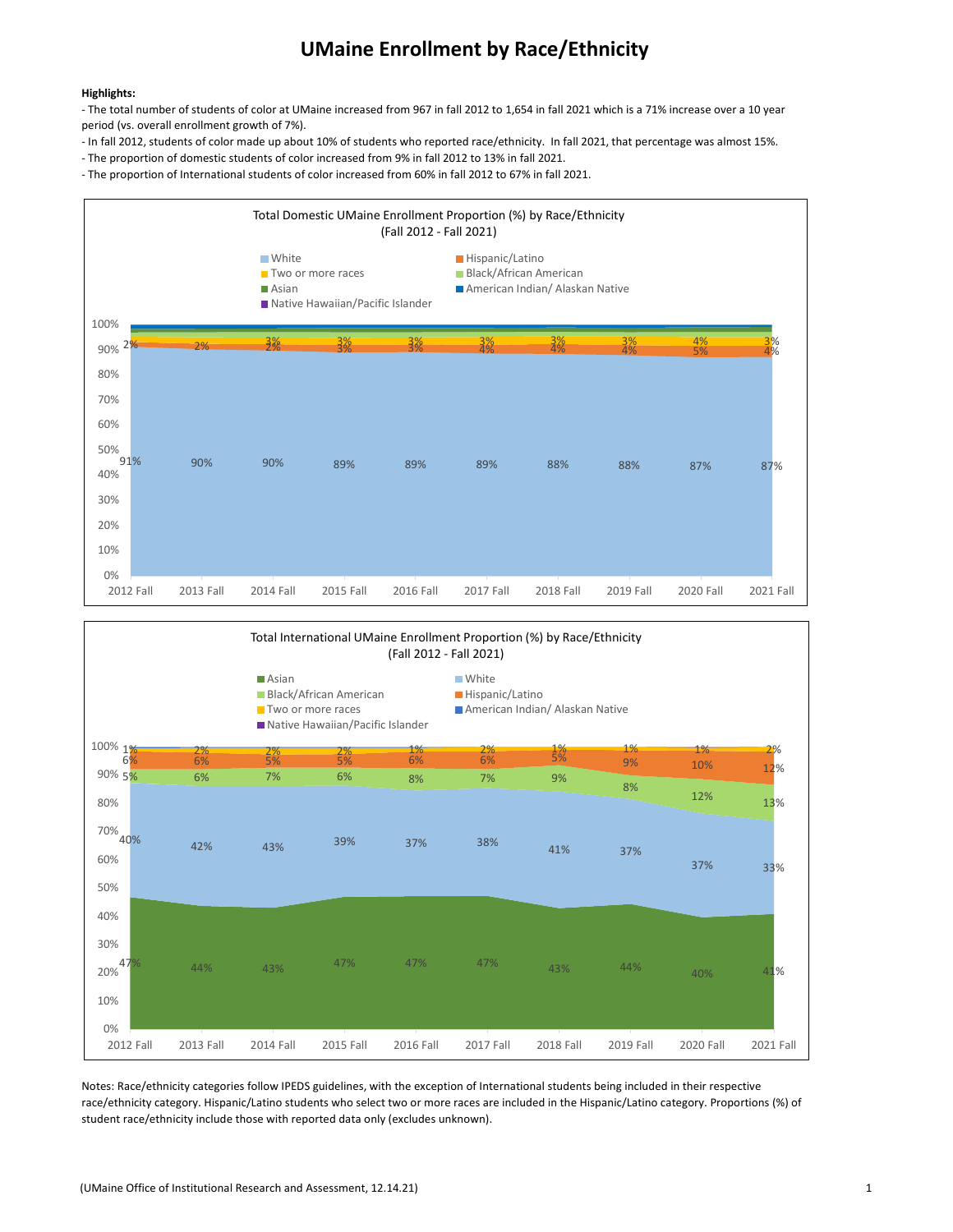## UMaine Enrollment by Race/Ethnicity

#### Highlights:

- The total number of students of color at UMaine increased from 967 in fall 2012 to 1,654 in fall 2021 which is a 71% increase over a 10 year period (vs. overall enrollment growth of 7%).

- In fall 2012, students of color made up about 10% of students who reported race/ethnicity. In fall 2021, that percentage was almost 15%.
- The proportion of domestic students of color increased from 9% in fall 2012 to 13% in fall 2021.

- The proportion of International students of color increased from 60% in fall 2012 to 67% in fall 2021.





Notes: Race/ethnicity categories follow IPEDS guidelines, with the exception of International students being included in their respective race/ethnicity category. Hispanic/Latino students who select two or more races are included in the Hispanic/Latino category. Proportions (%) of student race/ethnicity include those with reported data only (excludes unknown).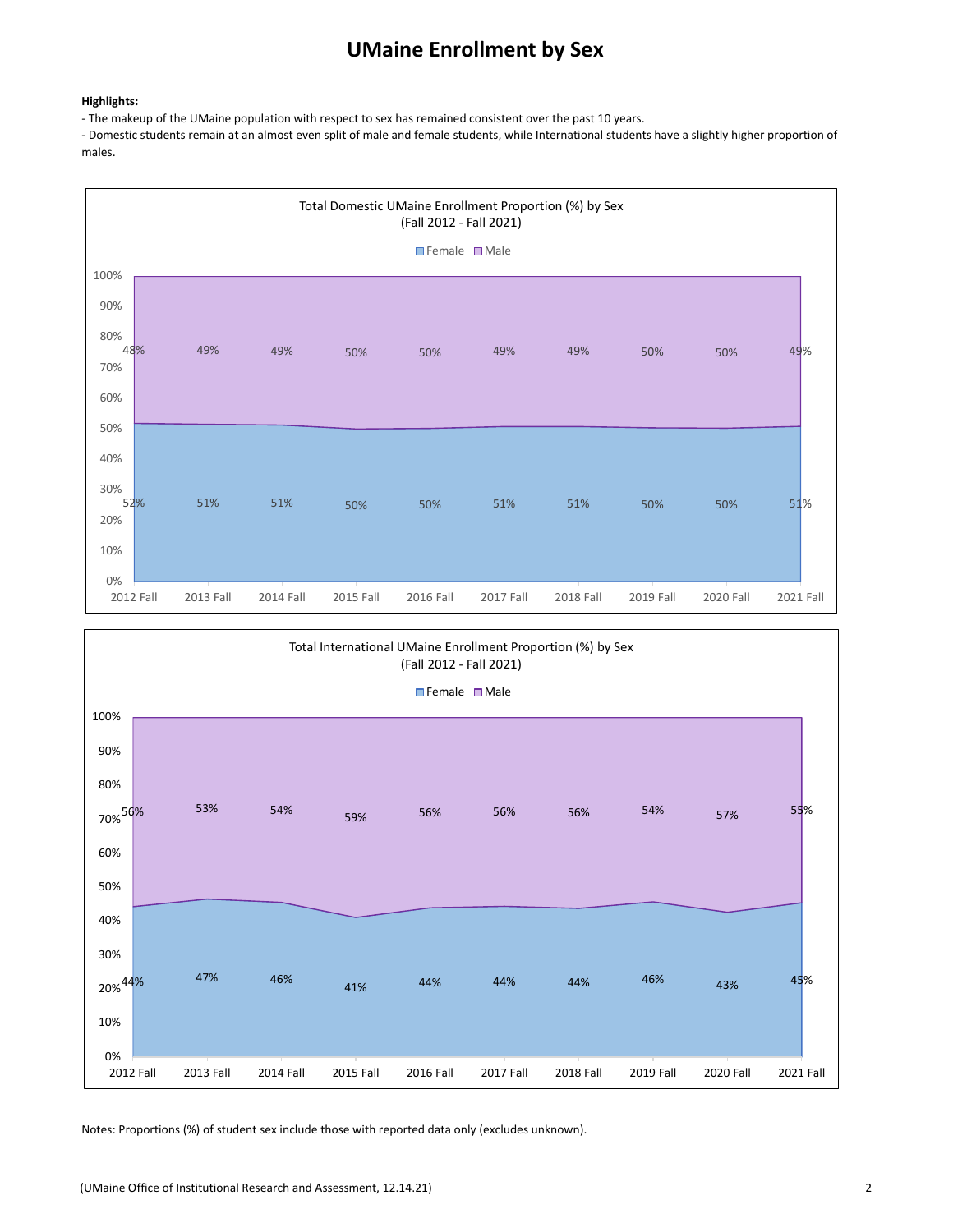# UMaine Enrollment by Sex

#### Highlights:

- The makeup of the UMaine population with respect to sex has remained consistent over the past 10 years.

- Domestic students remain at an almost even split of male and female students, while International students have a slightly higher proportion of males.





Notes: Proportions (%) of student sex include those with reported data only (excludes unknown).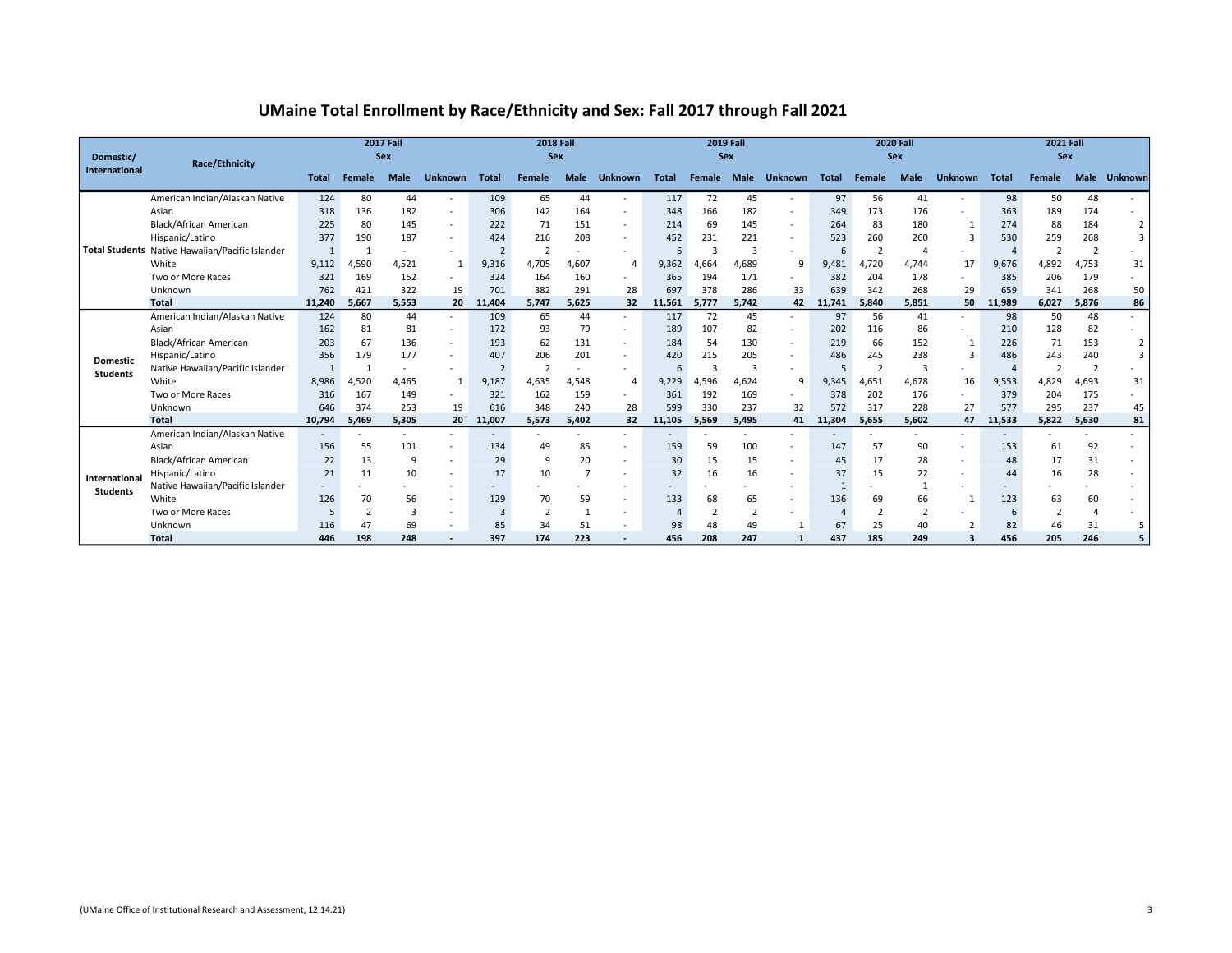### UMaine Total Enrollment by Race/Ethnicity and Sex: Fall 2017 through Fall 2021

| Domestic/       | Race/Ethnicity                                  |        |              | <b>2017 Fall</b><br>Sex |                          |                | <b>2018 Fall</b><br>Sex |             |                          |        | <b>2019 Fall</b><br>Sex |                |                          |        | <b>2020 Fall</b><br>Sex |             | <b>2021 Fall</b><br><b>Sex</b> |        |                |             |                |
|-----------------|-------------------------------------------------|--------|--------------|-------------------------|--------------------------|----------------|-------------------------|-------------|--------------------------|--------|-------------------------|----------------|--------------------------|--------|-------------------------|-------------|--------------------------------|--------|----------------|-------------|----------------|
| International   |                                                 | Total  | Female       | <b>Male</b>             | <b>Unknown</b>           | Total          | Female                  | <b>Male</b> | <b>Unknown</b>           | Total  | Female Male             |                | <b>Unknown</b>           | Total  | Female                  | <b>Male</b> | <b>Unknown</b>                 | Total  | Female         | <b>Male</b> | <b>Unknown</b> |
|                 | American Indian/Alaskan Native                  | 124    | 80           | 44                      |                          | 109            | 65                      | 44          | $\sim$                   | 117    | 72                      | 45             |                          | 97     | 56                      | 41          |                                | 98     | 50             | 48          |                |
|                 | Asian                                           | 318    | 136          | 182                     | $\overline{\phantom{a}}$ | 306            | 142                     | 164         | $\sim$                   | 348    | 166                     | 182            |                          | 349    | 173                     | 176         |                                | 363    | 189            | 174         |                |
|                 | Black/African American                          | 225    | 80           | 145                     | $\sim$                   | 222            | 71                      | 151         | $\sim$                   | 214    | 69                      | 145            | $\overline{\phantom{a}}$ | 264    | 83                      | 180         |                                | 274    | 88             | 184         | $\overline{2}$ |
|                 | Hispanic/Latino                                 | 377    | 190          | 187                     | $\sim$                   | 424            | 216                     | 208         | $\sim$                   | 452    | 231                     | 221            |                          | 523    | 260                     | 260         | 3                              | 530    | 259            | 268         | $\overline{3}$ |
|                 | Total Students Native Hawaiian/Pacific Islander |        | $\mathbf{1}$ |                         |                          | $\overline{2}$ | $\overline{2}$          |             | $\sim$                   | 6      |                         | 3              |                          |        |                         | $\Delta$    | ٠                              |        | $\overline{2}$ |             |                |
|                 | White                                           | 9,112  | 4,590        | 4,521                   | 1                        | 9,316          | 4,705                   | 4,607       | 4                        | 9,362  | 4,664                   | 4,689          | 9                        | 9,481  | 4,720                   | 4,744       | 17                             | 9,676  | 4,892          | 4,753       | 31             |
|                 | Two or More Races                               | 321    | 169          | 152                     | $\sim$                   | 324            | 164                     | 160         | $\overline{\phantom{a}}$ | 365    | 194                     | 171            |                          | 382    | 204                     | 178         | $\qquad \qquad \blacksquare$   | 385    | 206            | 179         |                |
|                 | Unknown                                         | 762    | 421          | 322                     | 19                       | 701            | 382                     | 291         | 28                       | 697    | 378                     | 286            | 33                       | 639    | 342                     | 268         | 29                             | 659    | 341            | 268         | 50             |
|                 | <b>Total</b>                                    | 11,240 | 5,667        | 5,553                   | 20                       | 11,404         | 5,747                   | 5,625       | 32                       | 11,561 | 5,777                   | 5,742          | 42                       | 11,741 | 5,840                   | 5,851       | 50                             | 11,989 | 6,027          | 5,876       | 86             |
|                 | American Indian/Alaskan Native                  | 124    | 80           | 44                      | $\sim$                   | 109            | 65                      | 44          | $\sim$                   | 117    | 72                      | 45             |                          | 97     | 56                      | 41          | ٠                              | 98     | 50             | 48          |                |
|                 | Asian                                           | 162    | 81           | 81                      | $\sim$                   | 172            | 93                      | 79          | $\sim$                   | 189    | 107                     | 82             | $\overline{\phantom{a}}$ | 202    | 116                     | 86          | ٠                              | 210    | 128            | 82          |                |
|                 | Black/African American                          | 203    | 67           | 136                     | $\sim$                   | 193            | 62                      | 131         | $\overline{\phantom{a}}$ | 184    | 54                      | 130            |                          | 219    | 66                      | 152         | 1                              | 226    | 71             | 153         | $\overline{2}$ |
| <b>Domestic</b> | Hispanic/Latino                                 | 356    | 179          | 177                     |                          | 407            | 206                     | 201         | $\sim$                   | 420    | 215                     | 205            |                          | 486    | 245                     | 238         | 3                              | 486    | 243            | 240         | $\overline{3}$ |
| <b>Students</b> | Native Hawaiian/Pacific Islander                |        | $\mathbf{1}$ |                         | $\sim$                   | $\overline{2}$ | $\overline{2}$          |             | $\overline{\phantom{a}}$ | 6      |                         | 3              |                          |        |                         | 3           | ۰                              |        |                |             |                |
|                 | White                                           | 8.986  | 4,520        | 4,465                   | 1                        | 9,187          | 4,635                   | 4,548       | 4                        | 9,229  | 4,596                   | 4.624          | 9                        | 9,345  | 4,651                   | 4,678       | 16                             | 9,553  | 4,829          | 4,693       | 31             |
|                 | Two or More Races                               | 316    | 167          | 149                     | $\sim$                   | 321            | 162                     | 159         | $\sim$                   | 361    | 192                     | 169            | $\overline{\phantom{a}}$ | 378    | 202                     | 176         | $\sim$                         | 379    | 204            | 175         |                |
|                 | Unknown                                         | 646    | 374          | 253                     | 19                       | 616            | 348                     | 240         | 28                       | 599    | 330                     | 237            | 32                       | 572    | 317                     | 228         | 27                             | 577    | 295            | 237         | 45             |
|                 | <b>Total</b>                                    | 10.794 | 5.469        | 5,305                   | 20                       | 11,007         | 5,573                   | 5,402       | 32                       | 11,105 | 5,569                   | 5,495          | 41                       | 11,304 | 5,655                   | 5,602       | 47                             | 11,533 | 5,822          | 5,630       | 81             |
|                 | American Indian/Alaskan Native                  |        |              |                         | $\sim$                   |                |                         |             | $\sim$                   |        |                         |                |                          |        |                         | ٠           | ٠                              |        |                |             |                |
|                 | Asian                                           | 156    | 55           | 101                     |                          | 134            | 49                      | 85          | $\sim$                   | 159    | 59                      | 100            |                          | 147    | 57                      | 90          |                                | 153    | 61             | 92          |                |
|                 | Black/African American                          | 22     | 13           | 9                       | $\overline{\phantom{a}}$ | 29             | 9                       | 20          | $\overline{\phantom{a}}$ | 30     | 15                      | 15             |                          | 45     | 17                      | 28          | $\overline{\phantom{a}}$       | 48     | 17             | 31          |                |
| International   | Hispanic/Latino                                 | 21     | 11           | 10                      | $\sim$                   | 17             | 10                      |             | $\overline{\phantom{a}}$ | 32     | 16                      | 16             |                          | 37     | 15                      | 22          | ٠                              | 44     | 16             | 28          |                |
| <b>Students</b> | Native Hawaiian/Pacific Islander                |        |              |                         | $\overline{\phantom{a}}$ |                |                         |             | $\overline{\phantom{a}}$ |        |                         |                |                          |        |                         |             | ۰                              |        |                |             |                |
|                 | White                                           | 126    | 70           | 56                      |                          | 129            | 70                      | 59          | $\sim$                   | 133    | 68                      | 65             |                          | 136    | 69                      | 66          | $\mathbf 1$                    | 123    | 63             | 60          |                |
|                 | Two or More Races                               |        |              |                         |                          | 3              |                         |             | $\overline{\phantom{a}}$ |        |                         | $\overline{2}$ |                          |        |                         |             |                                |        |                |             |                |
|                 | Unknown                                         | 116    | 47           | 69                      | $\overline{\phantom{a}}$ | 85             | 34                      | 51          | $\sim$                   | 98     | 48                      | 49             | $\mathbf{1}$             | 67     | 25                      | 40          | $\overline{2}$                 | 82     | 46             | 31          | 5              |
|                 | <b>Total</b>                                    | 446    | 198          | 248                     |                          | 397            | 174                     | 223         |                          | 456    | 208                     | 247            | $\mathbf{1}$             | 437    | 185                     | 249         |                                | 456    | 205            | 246         | 5              |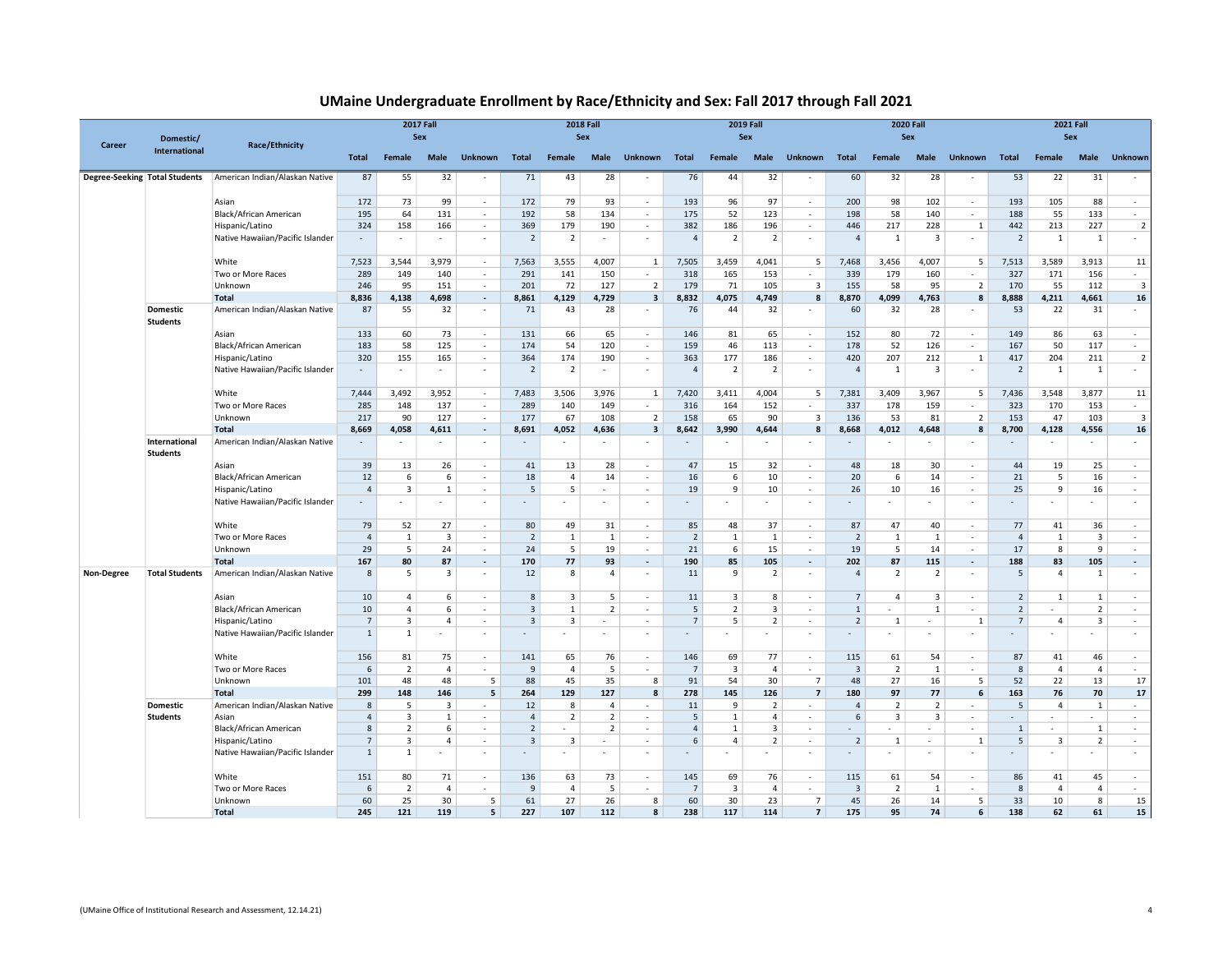| UMaine Undergraduate Enrollment by Race/Ethnicity and Sex: Fall 2017 through Fall 2021 |  |
|----------------------------------------------------------------------------------------|--|
|----------------------------------------------------------------------------------------|--|

| Career                               | Domestic/                          | <b>Race/Ethnicity</b>            | <b>2017 Fall</b><br>Sex |                |                |                          |                          |                | <b>2018 Fall</b><br>Sex  |                          |                |                         | <b>2019 Fall</b><br>Sex |                          |                |                          | <b>2020 Fall</b><br>Sex |                | <b>2021 Fall</b><br>Sex |                |                         |                         |  |
|--------------------------------------|------------------------------------|----------------------------------|-------------------------|----------------|----------------|--------------------------|--------------------------|----------------|--------------------------|--------------------------|----------------|-------------------------|-------------------------|--------------------------|----------------|--------------------------|-------------------------|----------------|-------------------------|----------------|-------------------------|-------------------------|--|
|                                      | <b>International</b>               |                                  | Total                   | Female         | Male           | <b>Unknown</b>           | <b>Total</b>             | Female         | Male                     | <b>Unknown</b>           | Total          | Female                  | Male                    | <b>Unknown</b>           | Total          | Female                   | Male                    | <b>Unknown</b> | <b>Total</b>            | Female         | Male                    | <b>Unknown</b>          |  |
| <b>Degree-Seeking Total Students</b> |                                    | American Indian/Alaskan Native   | 87                      | 55             | 32             | $\sim$                   | 71                       | 43             | 28                       |                          | 76             | 44                      | 32                      |                          | 60             | 32                       | 28                      | $\sim$         | 53                      | 22             | 31                      |                         |  |
|                                      |                                    | Asian                            | 172                     | 73             | 99             | $\sim$                   | 172                      | 79             | 93                       | $\sim$                   | 193            | 96                      | 97                      | $\sim$                   | 200            | 98                       | 102                     | $\sim$         | 193                     | 105            | 88                      | $\sim$                  |  |
|                                      |                                    | Black/African American           | 195                     | 64             | 131            | $\sim$                   | 192                      | 58             | 134                      | $\overline{\phantom{a}}$ | 175            | 52                      | 123                     | $\epsilon$               | 198            | 58                       | 140                     | $\sim$         | 188                     | 55             | 133                     | $\sim$                  |  |
|                                      |                                    | Hispanic/Latino                  | 324                     | 158            | 166            | $\sim$                   | 369                      | 179            | 190                      | ÷.                       | 382            | 186                     | 196                     | $\sim$                   | 446            | 217                      | 228                     | $\mathbf{1}$   | 442                     | 213            | 227                     | $\overline{2}$          |  |
|                                      |                                    | Native Hawaiian/Pacific Islander |                         | ×              | $\sim$         | $\sim$                   | $\overline{2}$           | $\overline{2}$ | $\overline{\phantom{a}}$ | $\overline{\phantom{a}}$ | $\overline{4}$ | $\overline{2}$          | $\overline{2}$          | $\overline{\phantom{a}}$ | $\overline{4}$ | 1                        | 3                       | $\sim$         | $\overline{2}$          | 1              | 1                       | $\sim$                  |  |
|                                      |                                    | White                            | 7,523                   | 3,544          | 3,979          | $\sim$                   | 7,563                    | 3,555          | 4,007                    | 1                        | 7,505          | 3,459                   | 4,041                   | 5                        | 7,468          | 3,456                    | 4,007                   | - 5            | 7,513                   | 3,589          | 3,913                   | 11                      |  |
|                                      |                                    | Two or More Races                | 289                     | 149            | 140            | $\sim$                   | 291                      | 141            | 150                      | $\sim$                   | 318            | 165                     | 153                     | $\mathbf{r}$             | 339            | 179                      | 160                     | $\sim$         | 327                     | 171            | 156                     | $\sim$                  |  |
|                                      |                                    | Unknown                          | 246                     | 95             | 151            | $\sim$                   | 201                      | 72             | 127                      | $\overline{2}$           | 179            | 71                      | 105                     | $\overline{3}$           | 155            | 58                       | 95                      | $\overline{2}$ | 170                     | 55             | 112                     | $\overline{\mathbf{3}}$ |  |
|                                      |                                    | <b>Total</b>                     | 8,836                   | 4,138          | 4,698          | $\sim$                   | 8,861                    | 4,129          | 4,729                    | $\overline{\mathbf{3}}$  | 8,832          | 4,075                   | 4,749                   | 8                        | 8,870          | 4,099                    | 4,763                   | 8              | 8,888                   | 4,211          | 4,661                   | 16                      |  |
|                                      | <b>Domestic</b><br><b>Students</b> | American Indian/Alaskan Native   | 87                      | 55             | 32             | $\sim$                   | 71                       | 43             | 28                       |                          | 76             | 44                      | 32                      |                          | 60             | 32                       | 28                      | $\sim$         | 53                      | 22             | 31                      | $\sim$                  |  |
|                                      |                                    | Asian                            | 133                     | 60             | 73             | $\sim$                   | 131                      | 66             | 65                       | $\epsilon$               | 146            | 81                      | 65                      | ٠                        | 152            | 80                       | 72                      | $\sim$         | 149                     | 86             | 63                      | $\sim$                  |  |
|                                      |                                    | Black/African American           | 183                     | 58             | 125            | $\sim$                   | 174                      | 54             | 120                      | $\overline{\phantom{a}}$ | 159            | 46                      | 113                     | $\overline{\phantom{a}}$ | 178            | 52                       | 126                     | $\sim$         | 167                     | 50             | 117                     | $\sim$                  |  |
|                                      |                                    | Hispanic/Latino                  | 320                     | 155            | 165            | $\sim$                   | 364                      | 174            | 190                      | $\overline{\phantom{a}}$ | 363            | 177                     | 186                     | $\sim$                   | 420            | 207                      | 212                     | $\mathbf{1}$   | 417                     | 204            | 211                     | $\overline{2}$          |  |
|                                      |                                    | Native Hawaiian/Pacific Islander | $\sim$                  | ٠              | $\sim$         | $\sim$                   | $\overline{2}$           | $\overline{2}$ |                          | ٠                        | $\overline{4}$ | $\overline{2}$          | $\overline{2}$          | $\overline{\phantom{a}}$ | $\overline{4}$ | 1                        | $\overline{3}$          | $\sim$         | $\overline{2}$          | 1              | $\mathbf{1}$            | $\sim$                  |  |
|                                      |                                    | White                            | 7,444                   | 3,492          | 3,952          | $\sim$                   | 7,483                    | 3,506          | 3,976                    | 1                        | 7,420          | 3.411                   | 4,004                   | 5                        | 7,381          | 3,409                    | 3,967                   | - 5            | 7,436                   | 3.548          | 3,877                   | 11                      |  |
|                                      |                                    | Two or More Races                | 285                     | 148            | 137            | $\sim$                   | 289                      | 140            | 149                      | $\sim$                   | 316            | 164                     | 152                     | ٠                        | 337            | 178                      | 159                     | $\sim$         | 323                     | 170            | 153                     | $\sim$                  |  |
|                                      |                                    | Unknown                          | 217                     | 90             | 127            | $\sim$                   | 177                      | 67             | 108                      | $\overline{2}$           | 158            | 65                      | 90                      | $\overline{3}$           | 136            | 53                       | 81                      | $\overline{2}$ | 153                     | 47             | 103                     | $\overline{\mathbf{3}}$ |  |
|                                      |                                    | <b>Total</b>                     | 8,669                   | 4,058          | 4,611          | $\sim$                   | 8,691                    | 4,052          | 4,636                    | 3                        | 8,642          | 3,990                   | 4,644                   | 8                        | 8,668          | 4,012                    | 4,648                   | 8              | 8,700                   | 4,128          | 4,556                   | 16                      |  |
|                                      | International<br><b>Students</b>   | American Indian/Alaskan Native   |                         |                | ٠              | $\sim$                   |                          |                |                          |                          |                |                         |                         |                          |                |                          |                         |                |                         |                |                         | $\sim$                  |  |
|                                      |                                    | Asian                            | 39                      | 13             | 26             | $\sim$                   | 41                       | 13             | 28                       | ٠                        | 47             | 15                      | 32                      | ٠                        | 48             | 18                       | 30                      | $\sim$         | 44                      | 19             | 25                      | $\sim$                  |  |
|                                      |                                    | Black/African American           | 12                      | 6              | 6              | $\sim$                   | 18                       | $\overline{4}$ | 14                       | ×                        | 16             | 6                       | 10                      | ×.                       | 20             | 6                        | 14                      | $\sim$         | 21                      | 5              | 16                      | $\sim$                  |  |
|                                      |                                    | Hispanic/Latino                  | $\overline{4}$          | 3              | $\mathbf{1}$   | $\sim$                   | 5                        | 5              | ٠                        | ٠                        | 19             | 9                       | 10                      | ×.                       | 26             | 10                       | 16                      | $\sim$         | 25                      | 9              | 16                      | $\sim$                  |  |
|                                      |                                    | Native Hawaiian/Pacific Islander | $\sim$                  | ×.             | $\sim$         | $\sim$                   | $\overline{\phantom{a}}$ |                |                          | ×                        | ٠              | ×.                      | $\mathbf{r}$            | ٠                        |                |                          | $\sim$                  | $\sim$         |                         |                |                         | $\sim$                  |  |
|                                      |                                    | White                            | 79                      | 52             | 27             | $\sim$                   | 80                       | 49             | 31                       | $\sim$                   | 85             | 48                      | 37                      | $\sim$                   | 87             | 47                       | 40                      | $\sim$         | 77                      | 41             | 36                      | $\sim$                  |  |
|                                      |                                    | Two or More Races                | $\overline{4}$          | $\mathbf{1}$   | 3              | $\sim$                   | $\overline{2}$           | 1              | 1                        | $\sim$                   | $\overline{2}$ | 1                       | $\mathbf{1}$            | $\sim$                   | $\overline{2}$ | 1                        | 1                       | $\sim$         | $\overline{4}$          | 1              | $\overline{\mathbf{3}}$ | $\sim$                  |  |
|                                      |                                    | Unknown                          | 29                      | 5              | 24             | $\sim$                   | 24                       | 5              | 19                       | $\sim$                   | 21             | 6                       | 15                      | ٠                        | 19             | 5                        | 14                      | $\sim$         | 17                      | 8              | 9                       | $\sim$                  |  |
|                                      |                                    | <b>Total</b>                     | 167                     | 80             | 87             | $\overline{\phantom{a}}$ | 170                      | 77             | 93                       | $\overline{\phantom{a}}$ | 190            | 85                      | 105                     | $\sim$                   | 202            | 87                       | 115                     | $\sim$         | 188                     | 83             | 105                     | $\sim$                  |  |
| Non-Degree                           | <b>Total Students</b>              | American Indian/Alaskan Native   | 8                       | 5              | 3              | $\sim$                   | 12                       | 8              | $\overline{4}$           |                          | 11             | 9                       | $\overline{2}$          | ×,                       | $\overline{4}$ | $\overline{2}$           | 2                       | $\sim$         | -5                      | $\overline{4}$ | 1                       | $\sim$                  |  |
|                                      |                                    | Asian                            | 10                      | $\overline{4}$ | 6              | $\sim$                   | $\mathbf{g}$             | $\overline{3}$ | 5                        | ×.                       | 11             | $\overline{3}$          | 8                       | ×.                       | $\overline{7}$ | $\overline{a}$           | 3                       | $\sim$         | $\overline{2}$          | $\mathbf{1}$   | 1                       | $\sim$                  |  |
|                                      |                                    | Black/African American           | 10                      | $\overline{4}$ | 6              | $\sim$                   | $\overline{\mathbf{3}}$  | $\mathbf{1}$   | $\overline{2}$           | ÷.                       | 5              | $\overline{2}$          | 3                       | ÷                        | $\mathbf{1}$   | $\sim$                   | 1                       | $\sim$         | $\overline{2}$          | $\sim$         | $\overline{2}$          | $\sim$                  |  |
|                                      |                                    | Hispanic/Latino                  | $\overline{7}$          | 3              | $\overline{4}$ | $\sim$                   | 3                        | 3              | $\sim$                   | ٠                        | $\overline{7}$ | 5                       | $\overline{2}$          | $\overline{\phantom{a}}$ | $\overline{2}$ | 1                        | $\sim$                  | 1              | $\overline{7}$          | $\overline{4}$ | 3                       | $\sim$                  |  |
|                                      |                                    | Native Hawaiian/Pacific Islander | $\mathbf{1}$            | $\mathbf{1}$   | $\sim$         | $\sim$                   | ٠                        | ٠              | ٠                        | ٠                        | $\sim$         | ٠                       | $\sim$                  | ٠                        | $\sim$         | $\overline{\phantom{a}}$ | $\sim$                  | $\sim$         |                         | $\sim$         |                         | $\sim$                  |  |
|                                      |                                    | White                            | 156                     | 81             | 75             | $\sim$                   | 141                      | 65             | 76                       | $\epsilon$               | 146            | 69                      | 77                      | $\sim$                   | 115            | 61                       | 54                      | $\sim$         | 87                      | 41             | 46                      | $\sim$                  |  |
|                                      |                                    | Two or More Races                | 6                       | $\overline{2}$ | 4              | $\sim$                   | 9                        | $\overline{4}$ | 5                        | $\sim$                   | $\overline{7}$ | $\overline{\mathbf{3}}$ | $\overline{4}$          | ٠                        | $\overline{3}$ | $\overline{2}$           | 1                       | $\sim$         | 8                       | $\overline{4}$ | $\overline{4}$          | $\sim$                  |  |
|                                      |                                    | Unknown                          | 101                     | 48             | 48             | 5                        | 88                       | 45             | 35                       | 8                        | 91             | 54                      | 30                      | $\overline{7}$           | 48             | 27                       | 16                      | 5              | 52                      | 22             | 13                      | 17                      |  |
|                                      |                                    | Total                            | 299                     | 148            | 146            | 5                        | 264                      | 129            | 127                      | 8                        | 278            | 145                     | 126                     | $\overline{7}$           | 180            | 97                       | 77                      | 6              | 163                     | 76             | 70                      | 17                      |  |
|                                      | <b>Domestic</b>                    | American Indian/Alaskan Native   | 8                       | 5              | $\mathbf{3}$   | ×                        | 12                       | 8              | $\Delta$                 |                          | 11             | 9                       | $\overline{2}$          |                          | $\overline{4}$ | $\overline{2}$           | $\overline{2}$          |                | 5                       | $\Delta$       | $\overline{1}$          | ÷                       |  |
|                                      | <b>Students</b>                    | Asian                            | $\overline{4}$          | 3              | $\mathbf{1}$   | $\sim$                   | $\overline{4}$           | $\overline{2}$ | $\overline{2}$           | $\overline{\phantom{a}}$ | 5              | $\mathbf{1}$            | $\overline{4}$          | $\overline{\phantom{a}}$ | 6              | $\overline{3}$           | $\overline{\mathbf{3}}$ | $\sim$         |                         |                |                         | $\sim$                  |  |
|                                      |                                    | Black/African American           | 8                       | $\overline{2}$ | 6              | $\sim$                   | $\overline{2}$           | ٠              | $\overline{2}$           | ä,                       | $\overline{4}$ | $\mathbf{1}$            | 3                       | $\overline{\phantom{a}}$ |                |                          |                         | $\sim$         | $\mathbf{1}$            | $\sim$         | $\mathbf{1}$            | $\sim$                  |  |
|                                      |                                    | Hispanic/Latino                  | $\overline{7}$          | 3              | $\overline{4}$ | $\sim$                   | $\overline{\mathbf{3}}$  | 3              | ٠                        | ×.                       | 6              | $\overline{4}$          | $\overline{2}$          | ٠                        | $\overline{2}$ | 1                        | $\sim$                  | 1              | 5                       | 3              | $\overline{2}$          | $\sim$                  |  |
|                                      |                                    | Native Hawaiian/Pacific Islander | $\mathbf{1}$            | $\mathbf{1}$   | $\sim$         | $\sim$                   |                          | $\sim$         | ٠                        | ٠                        | ٠              | $\sim$                  | $\sim$                  | $\overline{\phantom{a}}$ | $\sim$         | $\sim$                   | н.                      | $\sim$         |                         | $\sim$         |                         | $\sim$                  |  |
|                                      |                                    | White                            | 151                     | 80             | 71             | $\sim$                   | 136                      | 63             | 73                       | ٠                        | 145            | 69                      | 76                      | $\sim$                   | 115            | 61                       | 54                      | $\sim$         | 86                      | 41             | 45                      | $\sim$                  |  |
|                                      |                                    | Two or More Races                | 6                       | $\overline{2}$ | $\overline{4}$ | $\sim$                   | 9                        | $\overline{4}$ | 5                        | $\sim$                   | $\overline{7}$ | $\overline{3}$          | $\overline{4}$          | $\sim$                   | $\overline{3}$ | $\overline{2}$           | 1                       | $\sim$         | 8                       | $\overline{4}$ | $\overline{4}$          | $\sim$                  |  |
|                                      |                                    | Unknown                          | 60                      | 25             | 30             | 5                        | 61                       | 27             | 26                       | 8                        | 60             | 30                      | 23                      | $\overline{7}$           | 45             | 26                       | 14                      | 5              | 33                      | 10             | 8                       | 15                      |  |
|                                      |                                    | Total                            | 245                     | 121            | 119            | 5                        | 227                      | 107            | 112                      | 8                        | 238            | 117                     | 114                     | $\overline{7}$           | 175            | 95                       | 74                      | 6              | 138                     | 62             | 61                      | 15                      |  |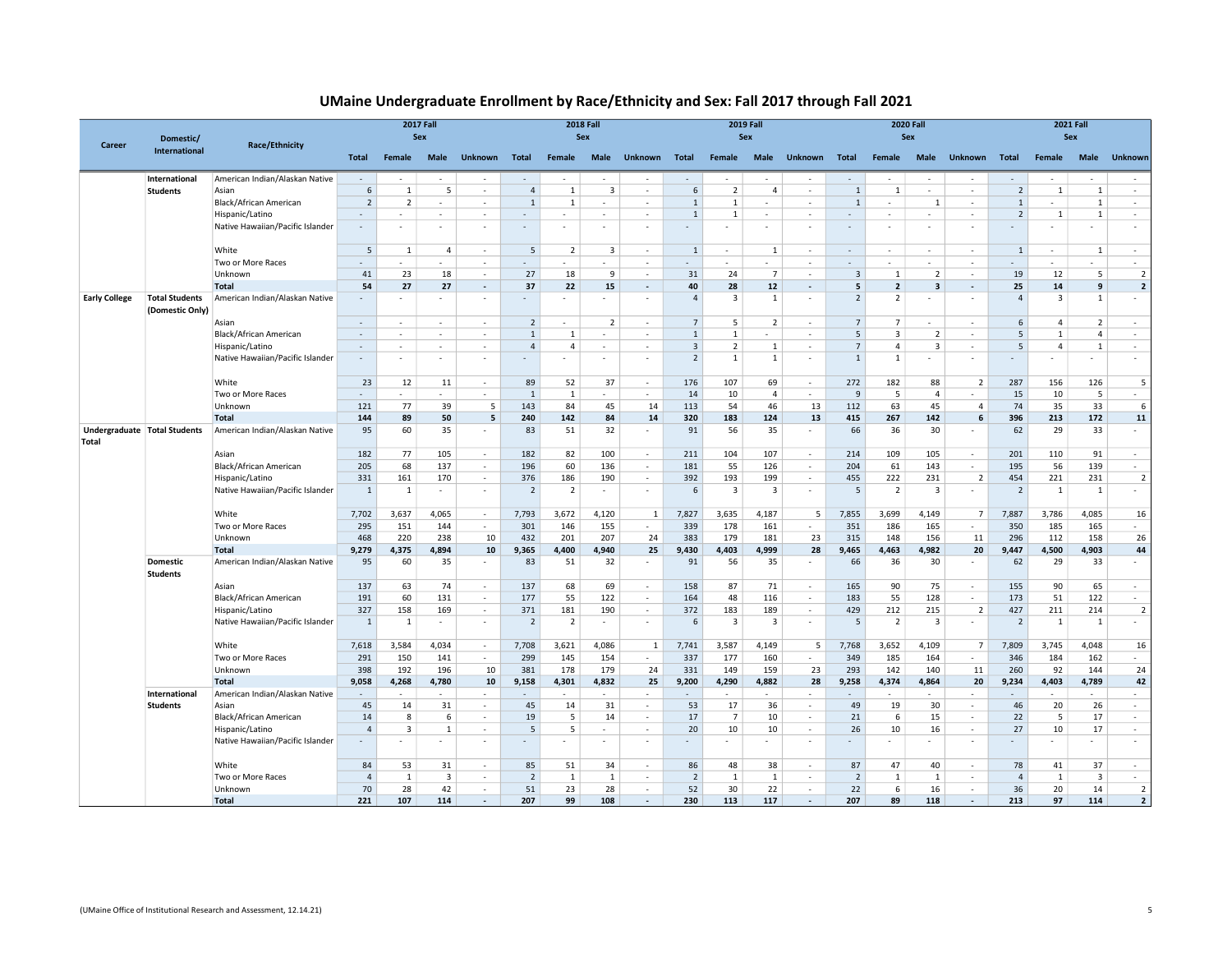### UMaine Undergraduate Enrollment by Race/Ethnicity and Sex: Fall 2017 through Fall 2021

| Career                                       | Domestic/                                | <b>Race/Ethnicity</b>                               | <b>2017 Fall</b><br>Sex  |                |                         |                  |                          |                          | <b>2018 Fall</b><br>Sex  |                          |                |                          | <b>2019 Fall</b><br>Sex  |                                                      |                |                          | <b>2020 Fall</b><br>Sex |                          | <b>2021 Fall</b><br>Sex |                |                |                                   |  |
|----------------------------------------------|------------------------------------------|-----------------------------------------------------|--------------------------|----------------|-------------------------|------------------|--------------------------|--------------------------|--------------------------|--------------------------|----------------|--------------------------|--------------------------|------------------------------------------------------|----------------|--------------------------|-------------------------|--------------------------|-------------------------|----------------|----------------|-----------------------------------|--|
|                                              | International                            |                                                     | Total                    | Female         | Male                    | <b>Unknown</b>   | Total                    | Female                   | Male                     | <b>Unknown</b>           | <b>Total</b>   | Female                   | Male                     | <b>Unknown</b>                                       | <b>Total</b>   | Female                   | Male                    | <b>Unknown</b>           | Total                   | Female         | Male           | <b>Unknown</b>                    |  |
|                                              | International                            | American Indian/Alaskan Native                      | $\sim$                   |                |                         |                  |                          |                          |                          |                          | ÷.             |                          |                          |                                                      |                |                          |                         | ÷                        |                         |                |                |                                   |  |
|                                              | <b>Students</b>                          | Asian                                               | 6                        | 1              | 5                       | $\sim$           | $\overline{4}$           | 1                        | $\overline{3}$           | $\sim$                   | 6              | $\overline{2}$           | $\overline{4}$           | ×,                                                   | $\mathbf{1}$   | 1                        | ×.                      | ÷                        | 2                       | $\mathbf{1}$   | $\mathbf{1}$   | ÷.                                |  |
|                                              |                                          | Black/African American                              | $\overline{2}$           | $\overline{2}$ | н.                      | $\sim$           | $\overline{1}$           | $\overline{1}$           | ٠                        |                          | $\mathbf{1}$   | $\mathbf{1}$             | ٠                        | ٠                                                    | $\mathbf{1}$   | $\sim$                   | -1                      | $\sim$                   | $\mathbf{1}$            | $\sim$         | 1              | $\sim$                            |  |
|                                              |                                          | Hispanic/Latino                                     | $\sim$                   | ×.             | $\sim$                  | $\sim$           | $\sim$                   | $\sim$                   | $\mathbf{r}$             | $\sim$                   | $\mathbf{1}$   | 1                        | $\sim$                   | ٠                                                    | $\sim$         | ٠                        | $\sim$                  | $\sim$                   | $\overline{2}$          | -1             | 1              | $\sim$                            |  |
|                                              |                                          | Native Hawaiian/Pacific Islander                    | $\sim$                   | ×.             | $\sim$                  | $\sim$           | ٠                        | ÷.                       |                          |                          | ÷              | ×.                       | ٠                        | ٠                                                    | $\sim$         | ×                        | $\sim$                  | $\sim$                   |                         | $\sim$         |                | $\sim$                            |  |
|                                              |                                          | White                                               | 5                        | 1              | $\overline{4}$          | $\sim$           | 5                        | $\overline{2}$           | $\overline{3}$           | $\epsilon$               | $\mathbf{1}$   | $\sim$                   | 1                        | ٠                                                    | $\sim$         | ×.                       | $\sim$                  | $\sim$                   | 1                       | $\sim$         | 1              | $\sim$                            |  |
|                                              |                                          | Two or More Races                                   |                          |                |                         | $\sim$           |                          |                          |                          | ٠                        | ٠              | ٠                        | ٠                        | ٠                                                    | $\sim$         | ٠                        | $\sim$                  | $\sim$                   |                         |                |                | $\sim$                            |  |
|                                              |                                          | Unknown                                             | 41                       | 23             | 18                      | <b>1999</b>      | 27                       | 18                       | 9                        | $\sim$                   | 31             | 24                       | $\overline{7}$           | $\mathbf{r}$                                         | $\overline{3}$ | 1                        | 2                       | $\sim$                   | 19                      | 12             | 5              | $\overline{2}$                    |  |
|                                              |                                          | Total                                               | 54                       | 27             | 27                      | $\sim$           | 37                       | 22                       | 15                       | $\overline{\phantom{a}}$ | 40             | 28                       | $12$                     | $\overline{\phantom{a}}$                             | 5              | $\overline{2}$           | 3                       | $\sim$                   | 25                      | 14             | 9              | $\overline{\mathbf{2}}$           |  |
| <b>Early College</b>                         | <b>Total Students</b><br>(Domestic Only) | American Indian/Alaskan Native                      |                          |                |                         | ٠                |                          |                          |                          |                          | $\overline{4}$ | $\overline{3}$           | $\mathbf{1}$             | $\overline{\phantom{a}}$                             | $\overline{2}$ | $\overline{2}$           | $\sim$                  | $\sim$                   | $\overline{4}$          | 3              | $\mathbf{1}$   | $\sim$                            |  |
|                                              |                                          | Asian                                               | $\overline{\phantom{a}}$ | ٠              | $\sim$                  | $\sim$           | $\overline{2}$           | ٠                        | $\overline{\phantom{a}}$ | ٠                        | $\overline{7}$ | 5                        | $\overline{2}$           | ٠                                                    | $\overline{7}$ | $\overline{7}$           | $\sim$                  | $\sim$                   | 6                       | 4              | $\overline{2}$ | $\sim$                            |  |
|                                              |                                          | Black/African American                              | $\sim$                   | $\sim$         | $\sim$                  | $\sim$           | $\mathbf{1}$             | 1                        | ÷.                       | ÷.                       | $\mathbf{1}$   | $\mathbf{1}$             | $\sim$                   | ×                                                    | 5              | $\overline{3}$           | 2                       | ×.                       | 5                       | $\mathbf{1}$   | $\overline{4}$ | $\sim$                            |  |
|                                              |                                          | Hispanic/Latino                                     | $\sim$                   | ٠              | $\sim$                  | $\sim$           | $\overline{4}$           | $\overline{4}$           | $\sim$                   | ٠                        | $\overline{3}$ | $\overline{2}$           | $\mathbf{1}$             | $\epsilon$                                           | $\overline{7}$ | $\overline{4}$           | $\overline{3}$          | $\sim$                   | 5                       | $\overline{4}$ | 1              | $\sim$                            |  |
|                                              |                                          | Native Hawaiian/Pacific Islander                    | $\overline{\phantom{a}}$ | $\sim$         | $\sim$                  | $\sim$           |                          | ٠                        | ٠                        | ٠                        | $\overline{2}$ | $\mathbf{1}$             | $\mathbf{1}$             | $\overline{\phantom{a}}$                             | $\mathbf{1}$   | $\mathbf{1}$             | $\sim$                  | $\sim$                   |                         | $\sim$         |                | $\sim$                            |  |
|                                              |                                          | White                                               | 23                       | 12             | 11                      | $\sim$           | 89                       | 52                       | 37                       | $\epsilon$               | 176            | 107                      | 69                       | $\sim$                                               | 272            | 182                      | 88                      | 2                        | 287                     | 156            | 126            | 5                                 |  |
|                                              |                                          | Two or More Races                                   | $\sim$                   | $\sim$         | $\sim$                  | $\sim$           | $\mathbf{1}$             | $\mathbf{1}$             | ÷.                       | ÷.                       | 14             | 10                       | $\overline{4}$           | ÷                                                    | 9              | 5                        | $\overline{4}$          | $\sim$                   | 15                      | 10             | 5              | $\sim$                            |  |
|                                              |                                          | Unknown                                             | 121                      | 77             | 39                      | 5                | 143                      | 84                       | 45                       | 14                       | 113            | 54                       | 46                       | 13                                                   | 112            | 63                       | 45                      | $\overline{4}$           | 74                      | 35             | 33             | 6                                 |  |
|                                              |                                          | <b>Total</b>                                        | 144                      | 89             | 50                      | 5                | 240                      | 142                      | 84                       | 14                       | 320            | 183                      | 124                      | 13                                                   | 415            | 267                      | 142                     | 6                        | 396                     | 213            | 172            | 11                                |  |
| Undergraduate Total Students<br><b>Total</b> |                                          | American Indian/Alaskan Native                      | 95                       | 60             | 35                      | ٠                | 83                       | 51                       | 32                       |                          | 91             | 56                       | 35                       | $\overline{\phantom{a}}$                             | 66             | 36                       | 30                      | ٠                        | 62                      | 29             | 33             | $\sim$                            |  |
|                                              |                                          | Asian                                               | 182                      | 77             | 105                     | $\sim$           | 182                      | 82                       | 100                      | $\sim$                   | 211            | 104                      | 107                      | $\epsilon$                                           | 214            | 109                      | 105                     | $\sim$                   | 201                     | 110            | 91             | $\sim$                            |  |
|                                              |                                          | Black/African American                              | 205                      | 68             | 137                     | $\sim$           | 196                      | 60                       | 136                      | $\sim$                   | 181            | 55                       | 126                      | $\sim$                                               | 204            | 61                       | 143                     | $\sim$                   | 195                     | 56             | 139            | $\sim$                            |  |
|                                              |                                          | Hispanic/Latino                                     | 331                      | 161            | 170                     | $\sim$           | 376                      | 186                      | 190                      | ٠                        | 392            | 193                      | 199                      | ÷                                                    | 455            | 222                      | 231                     | $\overline{2}$           | 454                     | 221            | 231            | $\overline{2}$                    |  |
|                                              |                                          | Native Hawaiian/Pacific Islander                    | $\mathbf{1}$             | 1              | $\sim$                  | $\sim$           | $\overline{2}$           | $\overline{2}$           |                          |                          | 6              | $\overline{3}$           | 3                        | ٠                                                    | 5              | 2                        | 3                       | $\sim$                   | $\overline{2}$          | 1              | 1              | $\sim$                            |  |
|                                              |                                          | White                                               | 7,702                    | 3,637          | 4,065                   | $\sim$           | 7,793                    | 3,672                    | 4,120                    | $\mathbf{1}$             | 7,827          | 3,635                    | 4,187                    | 5                                                    | 7,855          | 3,699                    | 4,149                   | $\overline{7}$           | 7,887                   | 3,786          | 4,085          | 16                                |  |
|                                              |                                          | Two or More Races                                   | 295                      | 151            | 144                     | $\sim$           | 301                      | 146                      | 155                      | $\sim$                   | 339            | 178                      | 161                      | $\overline{\phantom{a}}$                             | 351            | 186                      | 165                     | $\sim$                   | 350                     | 185            | 165            | $\sim$                            |  |
|                                              |                                          | Unknown                                             | 468                      | 220            | 238                     | 10               | 432                      | 201                      | 207                      | 24                       | 383            | 179                      | 181                      | 23                                                   | 315            | 148                      | 156                     | 11                       | 296                     | 112            | 158            | 26                                |  |
|                                              |                                          | <b>Total</b>                                        | 9,279                    | 4,375          | 4,894                   | 10               | 9,365                    | 4,400                    | 4,940                    | 25                       | 9,430          | 4,403                    | 4,999                    | 28                                                   | 9,465          | 4,463                    | 4,982                   | 20                       | 9,447                   | 4,500          | 4,903          | 44                                |  |
|                                              | <b>Domestic</b><br><b>Students</b>       | American Indian/Alaskan Native                      | 95                       | 60             | 35                      | $\sim$           | 83                       | 51                       | 32                       |                          | 91             | 56                       | 35                       |                                                      | 66             | 36                       | 30                      | $\sim$                   | 62                      | 29             | 33             | $\sim$                            |  |
|                                              |                                          | Asian                                               | 137                      | 63             | 74                      | $\sim$           | 137                      | 68                       | 69                       | $\sim$                   | 158            | 87                       | 71                       | $\sim$                                               | 165            | 90                       | 75                      | $\sim$                   | 155                     | 90             | 65             | $\sim$                            |  |
|                                              |                                          | Black/African American                              | 191                      | 60             | 131                     | in 19            | 177                      | 55                       | 122                      | $\sim$                   | 164            | 48                       | 116                      | $\sim$                                               | 183            | 55                       | 128                     | $\sim$                   | 173                     | 51             | 122            | $\sim$                            |  |
|                                              |                                          | Hispanic/Latino<br>Native Hawaiian/Pacific Islander | 327<br>$\mathbf{1}$      | 158<br>1       | 169<br>$\sim$           | $\sim$<br>$\sim$ | 371<br>$\overline{2}$    | 181<br>$\overline{2}$    | 190                      | $\overline{\phantom{a}}$ | 372<br>6       | 183<br>-3                | 189<br>3                 | $\overline{\phantom{a}}$<br>$\overline{\phantom{a}}$ | 429<br>5       | 212<br>$\overline{2}$    | 215<br>3                | $\overline{2}$<br>$\sim$ | 427<br>$\overline{2}$   | 211<br>1       | 214<br>1       | $\overline{\mathbf{c}}$<br>$\sim$ |  |
|                                              |                                          | White                                               | 7,618                    | 3,584          | 4,034                   | $\sim$           | 7,708                    | 3,621                    | 4,086                    | $\mathbf{1}$             | 7,741          | 3,587                    | 4,149                    | 5                                                    | 7,768          | 3,652                    | 4,109                   | $\overline{7}$           | 7,809                   | 3,745          | 4,048          | 16                                |  |
|                                              |                                          | Two or More Races                                   | 291                      | 150            | 141                     | $\sim$           | 299                      | 145                      | 154                      | $\sim$                   | 337            | 177                      | 160                      | $\sim$                                               | 349            | 185                      | 164                     | $\sim$                   | 346                     | 184            | 162            | $\sim$                            |  |
|                                              |                                          | Unknown                                             | 398                      | 192            | 196                     | 10               | 381                      | 178                      | 179                      | 24                       | 331            | 149                      | 159                      | 23                                                   | 293            | 142                      | 140                     | 11                       | 260                     | 92             | 144            | 24                                |  |
|                                              |                                          | Total                                               | 9,058                    | 4,268          | 4,780                   | 10               | 9,158                    | 4,301                    | 4,832                    | 25                       | 9,200          | 4,290                    | 4,882                    | 28                                                   | 9,258          | 4,374                    | 4,864                   | 20                       | 9,234                   | 4,403          | 4,789          | 42                                |  |
|                                              | International                            | American Indian/Alaskan Native                      |                          | $\sim$         | $\sim$                  | $\sim$           |                          | $\overline{\phantom{a}}$ | ٠                        | $\overline{\phantom{a}}$ | $\sim$         | $\sim$                   | $\sim$                   | $\overline{\phantom{a}}$                             |                | $\overline{\phantom{a}}$ | $\sim$                  | $\sim$                   |                         |                |                | $\sim$                            |  |
|                                              | <b>Students</b>                          | Asian                                               | 45                       | 14             | 31                      | $\sim$           | 45                       | 14                       | 31                       | ×.                       | 53             | 17                       | 36                       | ×.                                                   | 49             | 19                       | 30                      | $\sim$                   | 46                      | 20             | 26             | $\sim$                            |  |
|                                              |                                          | Black/African American                              | 14                       | 8              | 6                       | $\sim$           | 19                       | 5                        | 14                       | ÷.                       | 17             | $\overline{7}$           | 10                       | ÷                                                    | 21             | 6                        | 15                      | ×.                       | 22                      | 5              | 17             | $\sim$                            |  |
|                                              |                                          | Hispanic/Latino                                     | $\overline{4}$           | 3              | 1                       | $\sim$           | 5                        | 5                        | $\overline{\phantom{a}}$ | ٠                        | 20             | 10                       | 10                       | $\sim$                                               | 26             | 10                       | 16                      | $\sim$                   | 27                      | 10             | 17             | $\sim$                            |  |
|                                              |                                          | Native Hawaiian/Pacific Islander                    |                          |                | $\sim$                  | $\sim$           | $\overline{\phantom{a}}$ | ٠                        | ٠                        | $\overline{\phantom{a}}$ | ٠              | $\overline{\phantom{a}}$ | $\overline{\phantom{a}}$ | $\overline{\phantom{a}}$                             |                |                          | $\sim$                  | $\overline{\phantom{a}}$ |                         | $\sim$         |                | $\sim$                            |  |
|                                              |                                          | White                                               | 84                       | 53             | 31                      | $\sim$           | 85                       | 51                       | 34                       | ٠                        | 86             | 48                       | 38                       |                                                      | 87             | 47                       | 40                      | ×.                       | 78                      | 41             | 37             | $\sim$                            |  |
|                                              |                                          | Two or More Races                                   | $\overline{4}$           | 1              | $\overline{\mathbf{3}}$ | $\sim$           | $\overline{2}$           | 1                        | 1                        | $\epsilon$               | $\overline{2}$ | $\overline{1}$           | $\mathbf{1}$             | ×                                                    | $\overline{2}$ | 1                        | 1                       | $\sim$                   | $\overline{4}$          | 1              | $\overline{3}$ | $\sim$                            |  |
|                                              |                                          | Unknown                                             | 70                       | 28             | 42                      | $\sim$           | 51                       | 23                       | 28                       | $\sim$                   | 52             | 30                       | 22                       | $\sim$                                               | 22             | 6                        | 16                      | $\sim$                   | 36                      | 20             | 14             | $\overline{2}$                    |  |
|                                              |                                          | <b>Total</b>                                        | 221                      | 107            | 114                     | $\sim$           | 207                      | 99                       | 108                      | $\overline{\phantom{a}}$ | 230            | 113                      | 117                      | $\sim$                                               | 207            | 89                       | 118                     | $\sim$                   | 213                     | 97             | 114            | $\overline{\mathbf{2}}$           |  |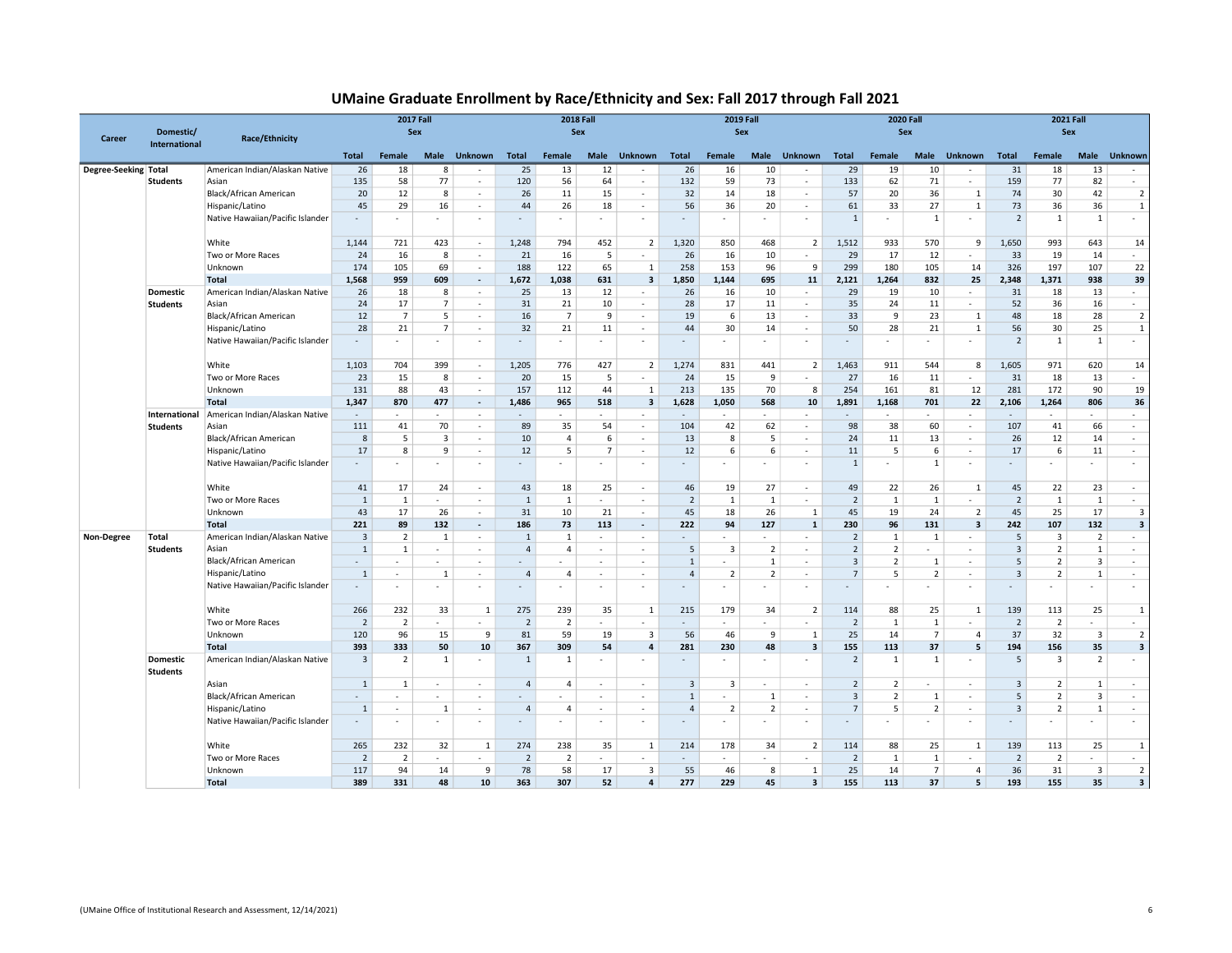| UMaine Graduate Enrollment by Race/Ethnicity and Sex: Fall 2017 through Fall 2021 |  |  |
|-----------------------------------------------------------------------------------|--|--|
|                                                                                   |  |  |

| Career               |                                    | <b>2017 Fall</b><br>Sex          |                          |                |                         | <b>2018 Fall</b><br>Sex     |                |                | <b>2019 Fall</b>         | Sex                      |                             |                         | <b>2020 Fall</b> | Sex                     |                | <b>2021 Fall</b><br>Sex  |                |                         |                |                         |                         |                             |
|----------------------|------------------------------------|----------------------------------|--------------------------|----------------|-------------------------|-----------------------------|----------------|----------------|--------------------------|--------------------------|-----------------------------|-------------------------|------------------|-------------------------|----------------|--------------------------|----------------|-------------------------|----------------|-------------------------|-------------------------|-----------------------------|
|                      | <b>International</b>               | <b>Race/Ethnicity</b>            | <b>Total</b>             | Female         | Male                    | <b>Unknown</b>              | <b>Total</b>   | Female         | <b>Male</b>              | <b>Unknown</b>           | <b>Total</b>                | Female                  | <b>Male</b>      | <b>Unknown</b>          | <b>Total</b>   | Female                   | <b>Male</b>    | <b>Unknown</b>          | <b>Total</b>   | Female                  | Male                    | Unknown                     |
| Degree-Seeking Total |                                    | American Indian/Alaskan Native   | 26                       | 18             | 8                       | $\sim$                      | 25             | 13             | 12                       | $\epsilon$               | 26                          | 16                      | 10               | $\sim$                  | 29             | 19                       | 10             | $\sim$                  | 31             | 18                      | 13                      | $\sim$                      |
|                      | <b>Students</b>                    | Asian                            | 135                      | 58             | 77                      | $\sim$                      | 120            | 56             | 64                       | $\sim$                   | 132                         | 59                      | 73               | $\sim$                  | 133            | 62                       | 71             | $\sim$                  | 159            | 77                      | 82                      | $\mathcal{L}_{\mathcal{A}}$ |
|                      |                                    | Black/African American           | 20                       | 12             | 8                       | ×.                          | 26             | $11\,$         | 15                       | $\sim$                   | 32                          | 14                      | 18               | $\sim$                  | 57             | 20                       | 36             | $\mathbf{1}$            | 74             | 30                      | 42                      | $\overline{2}$              |
|                      |                                    | Hispanic/Latino                  | 45                       | 29             | 16                      | $\sim$                      | 44             | 26             | 18                       | $\epsilon$               | 56                          | 36                      | 20               | $\sim$                  | 61             | 33                       | 27             | 1                       | 73             | 36                      | 36                      | $\mathbf{1}$                |
|                      |                                    | Native Hawaiian/Pacific Islander | $\overline{\phantom{a}}$ | $\sim$         |                         | $\sim$                      |                | ٠              | ٠                        | ٠                        | $\sim$                      |                         | ٠                | $\sim$                  | 1              | $\overline{\phantom{a}}$ | 1              | $\sim$                  | $\overline{2}$ | $\mathbf{1}$            | 1                       | $\sim$                      |
|                      |                                    | White                            | 1,144                    | 721            | 423                     | $\sim$                      | 1.248          | 794            | 452                      | $\overline{2}$           | 1,320                       | 850                     | 468              | 2                       | 1,512          | 933                      | 570            | 9                       | 1,650          | 993                     | 643                     | 14                          |
|                      |                                    | Two or More Races                | 24                       | 16             | 8                       | $\sim$                      | 21             | 16             | 5                        | ٠                        | 26                          | 16                      | 10               | $\sim$                  | 29             | 17                       | 12             | $\sim$                  | 33             | 19                      | 14                      | $\sim$                      |
|                      |                                    | Unknown                          | 174                      | 105            | 69                      | $\sim$                      | 188            | 122            | 65                       | $\mathbf{1}$             | 258                         | 153                     | 96               | 9                       | 299            | 180                      | 105            | 14                      | 326            | 197                     | 107                     | 22                          |
|                      |                                    | Total                            | 1,568                    | 959            | 609                     | $\sim$                      | 1,672          | 1,038          | 631                      | $\overline{\mathbf{3}}$  | 1,850                       | 1.144                   | 695              | 11                      | 2,121          | 1,264                    | 832            | 25                      | 2,348          | 1,371                   | 938                     | 39                          |
|                      | Domestic                           | American Indian/Alaskan Native   | 26                       | 18             | 8                       | $\sim$                      | 25             | 13             | 12                       | $\overline{\phantom{a}}$ | 26                          | 16                      | 10               | $\sim$                  | 29             | 19                       | 10             | $\sim$                  | 31             | 18                      | 13                      | $\sim$                      |
|                      | <b>Students</b>                    | Asian                            | 24                       | 17             | $\overline{7}$          | $\sim$                      | 31             | 21             | 10                       | $\overline{\phantom{a}}$ | 28                          | 17                      | 11               | $\sim$                  | 35             | 24                       | 11             | $\sim$                  | 52             | 36                      | 16                      | $\mathcal{L}_{\mathcal{A}}$ |
|                      |                                    | Black/African American           | 12                       | $\overline{7}$ | 5                       | $\sim$                      | 16             | $\overline{7}$ | 9                        | $\sim$                   | 19                          | 6                       | 13               | $\sim$                  | 33             | 9                        | 23             | 1                       | 48             | 18                      | 28                      | $\overline{2}$              |
|                      |                                    | Hispanic/Latino                  | 28                       | 21             | $\overline{7}$          | $\sim$                      | 32             | 21             | 11                       | $\overline{\phantom{a}}$ | 44                          | 30                      | 14               | $\sim$                  | 50             | 28                       | 21             | $\overline{1}$          | 56             | 30                      | 25                      | $\,$ 1                      |
|                      |                                    | Native Hawaiian/Pacific Islander | ÷                        | $\sim$         | ÷.                      | ×.                          |                | ÷              | ٠                        | ٠                        | $\sim$                      |                         |                  | $\sim$                  |                | ٠                        | $\sim$         | ×.                      | $\overline{2}$ | $\mathbf{1}$            | $\mathbf{1}$            | $\sim$                      |
|                      |                                    | White                            | 1,103                    | 704            | 399                     | ×.                          | 1,205          | 776            | 427                      | $\overline{2}$           | 1,274                       | 831                     | 441              | $\overline{2}$          | 1,463          | 911                      | 544            | 8                       | 1,605          | 971                     | 620                     | 14                          |
|                      |                                    | Two or More Races                | 23                       | 15             | 8                       | $\sim$                      | 20             | 15             | 5                        | ٠                        | 24                          | 15                      | 9                | $\sim$                  | 27             | 16                       | 11             | $\sim$                  | 31             | 18                      | 13                      | $\sim$                      |
|                      |                                    | Unknown                          | 131                      | 88             | 43                      | $\sim$                      | 157            | 112            | 44                       | 1                        | 213                         | 135                     | 70               | 8                       | 254            | 161                      | 81             | 12                      | 281            | 172                     | 90                      | 19                          |
|                      |                                    | Total                            | 1,347                    | 870            | 477                     | $\sim$                      | 1,486          | 965            | 518                      | $\overline{\mathbf{3}}$  | 1,628                       | 1,050                   | 568              | 10                      | 1,891          | 1,168                    | 701            | 22                      | 2,106          | 1,264                   | 806                     | 36                          |
|                      | International                      | American Indian/Alaskan Native   | $\sim$                   | $\sim$         | $\sim$                  | $\sim$                      | $\sim$         | ×.             | ×.                       | $\sim$                   | $\sim$                      | $\sim$                  | $\sim$           | $\sim$                  |                | $\sim$                   | $\sim$         | $\sim$                  | $\sim$         | $\sim$                  | ÷.                      | $\sim$                      |
|                      | <b>Students</b>                    | Asian                            | 111                      | 41             | 70                      | $\sim$                      | 89             | 35             | 54                       | $\overline{\phantom{a}}$ | 104                         | 42                      | 62               | $\sim$                  | 98             | 38                       | 60             | $\sim$                  | 107            | 41                      | 66                      | $\epsilon$                  |
|                      |                                    | Black/African American           | 8                        | 5              | $\overline{\mathbf{3}}$ | $\sim$                      | 10             | $\overline{4}$ | 6                        | $\sim$                   | 13                          | 8                       | 5                | $\sim$                  | 24             | 11                       | 13             | $\sim$                  | 26             | 12                      | 14                      | $\sim$                      |
|                      |                                    | Hispanic/Latino                  | 17                       | 8              | 9                       | $\sim$                      | 12             | 5              | $\overline{7}$           | $\epsilon$               | 12                          | 6                       | 6                | ٠                       | 11             | 5                        | 6              | $\sim$                  | 17             | 6                       | 11                      | ÷                           |
|                      |                                    | Native Hawaiian/Pacific Islander | ٠                        | $\sim$         |                         | $\sim$                      |                | ٠              | ٠                        | ٠                        | $\sim$                      | $\sim$                  | ٠                | $\sim$                  | $\mathbf{1}$   | ٠                        | 1              | ٠                       |                | ۰.                      |                         | $\sim$                      |
|                      |                                    | White                            | 41                       | 17             | 24                      | $\sim$                      | 43             | 18             | 25                       | $\sim$                   | 46                          | 19                      | 27               | $\sim$                  | 49             | 22                       | 26             | 1                       | 45             | 22                      | 23                      | $\sim$                      |
|                      |                                    | Two or More Races                | $\mathbf{1}$             | $\mathbf{1}$   | $\sim$                  | $\sim$                      | $\mathbf{1}$   | 1              | $\sim$                   | $\epsilon$               | $\overline{2}$              | $\mathbf{1}$            | 1                | $\sim$                  | $\overline{2}$ | $\mathbf{1}$             | $\mathbf{1}$   | $\sim$                  | $\overline{2}$ | $\mathbf{1}$            | $\mathbf{1}$            | $\sim$                      |
|                      |                                    | Unknown                          | 43                       | 17             | 26                      | $\mathcal{L}_{\mathcal{A}}$ | 31             | 10             | 21                       | ÷                        | 45                          | 18                      | 26               | $\mathbf{1}$            | 45             | 19                       | 24             | $\overline{2}$          | 45             | 25                      | 17                      | $\overline{\mathbf{3}}$     |
|                      |                                    | Total                            | 221                      | 89             | 132                     | $\sim$                      | 186            | 73             | 113                      | $\sim$                   | 222                         | 94                      | 127              | 1                       | 230            | 96                       | 131            | $\overline{\mathbf{3}}$ | 242            | 107                     | 132                     | $\overline{\mathbf{3}}$     |
| Non-Degree           | Total                              | American Indian/Alaskan Native   | $\overline{3}$           | $\overline{2}$ | $\mathbf{1}$            | $\sim$                      | $\mathbf{1}$   | $\mathbf{1}$   | $\sim$                   | ٠                        | $\sim$                      | $\sim$                  | $\sim$           | $\sim$                  | $\overline{2}$ | $\mathbf{1}$             | 1              | $\sim$                  | 5              | $\overline{\mathbf{3}}$ | $\overline{2}$          | $\sim$                      |
|                      | <b>Students</b>                    | Asian                            | $\mathbf{1}$             | 1              | ×.                      | ×.                          | $\overline{4}$ | $\overline{4}$ | ×.                       | ÷                        | 5                           | $\overline{\mathbf{3}}$ | $\overline{2}$   | ×.                      | $\overline{2}$ | $\overline{2}$           | ×.             | $\sim$                  | $\overline{3}$ | $\overline{2}$          | $\overline{1}$          | $\mathcal{L}_{\mathcal{A}}$ |
|                      |                                    | Black/African American           | $\sim$                   | $\sim$         | $\sim$                  | $\sim$                      | $\sim$         | $\sim$         | $\sim$                   | $\sim$                   | $\mathbf{1}$                | $\sim$                  | 1                | $\sim$                  | $\overline{3}$ | $\overline{2}$           | 1              | $\sim$                  | 5              | $\overline{2}$          | $\overline{3}$          | $\sim$                      |
|                      |                                    | Hispanic/Latino                  | $\mathbf{1}$             | $\sim$         | 1                       | $\sim$                      | $\overline{4}$ | $\overline{4}$ | $\overline{\phantom{a}}$ | $\overline{\phantom{a}}$ | $\overline{4}$              | $\overline{2}$          | $\overline{2}$   | $\sim$                  | $\overline{7}$ | 5                        | $\overline{2}$ | $\sim$                  | $\overline{3}$ | $\overline{2}$          | $\mathbf{1}$            | $\epsilon$                  |
|                      |                                    | Native Hawaiian/Pacific Islander | $\sim$                   | $\sim$         | $\sim$                  | $\sim$                      |                | ÷              | ÷.                       | ÷                        | $\sim$                      | $\sim$                  |                  | $\sim$                  |                | ٠                        | $\sim$         | ÷.                      |                |                         |                         | $\sim$                      |
|                      |                                    | White                            | 266                      | 232            | 33                      | $\mathbf{1}$                | 275            | 239            | 35                       | 1                        | 215                         | 179                     | 34               | $\overline{2}$          | 114            | 88                       | 25             | $\mathbf{1}$            | 139            | 113                     | 25                      | $\mathbf{1}$                |
|                      |                                    | Two or More Races                | $\overline{2}$           | $\overline{2}$ | $\sim$                  | $\sim$                      | $\overline{2}$ | $\overline{2}$ | ×.                       | ٠                        | $\sim$                      | $\sim$                  | a.               | $\sim$                  | $\overline{2}$ | $\mathbf{1}$             | $\mathbf{1}$   | $\sim$                  | $\overline{2}$ | $\overline{2}$          | ÷.                      | $\sim$                      |
|                      |                                    | Unknown                          | 120                      | 96             | 15                      | 9                           | 81             | 59             | 19                       | $\overline{3}$           | 56                          | 46                      | 9                | 1                       | 25             | 14                       | $\overline{7}$ | $\overline{4}$          | 37             | 32                      | $\overline{3}$          | $\overline{2}$              |
|                      |                                    | Total                            | 393                      | 333            | 50                      | 10                          | 367            | 309            | 54                       | $\overline{a}$           | 281                         | 230                     | 48               | $\overline{\mathbf{3}}$ | 155            | 113                      | 37             | 5                       | 194            | 156                     | 35                      | $\mathbf 3$                 |
|                      | <b>Domestic</b><br><b>Students</b> | American Indian/Alaskan Native   | 3                        | 2              | 1                       | $\sim$                      | 1              | 1              | ٠                        | $\epsilon$               | $\sim$                      | $\sim$                  |                  | $\sim$                  | $\overline{2}$ | 1                        | 1              | $\sim$                  | 5              | $\overline{\mathbf{3}}$ | $\overline{2}$          | $\sim$                      |
|                      |                                    | Asian                            | $\mathbf{1}$             | $\mathbf{1}$   | ×.                      | ×.                          | $\overline{4}$ | $\overline{4}$ | $\overline{\phantom{a}}$ | ÷                        | $\overline{3}$              | 3                       | ×.               | $\sim$                  | $\overline{2}$ | $\overline{2}$           | ×.             | $\sim$                  | $\overline{3}$ | $\overline{2}$          | $\mathbf{1}$            | $\sim$                      |
|                      |                                    | Black/African American           | $\sim$                   | $\sim$         | $\sim$                  | $\sim$                      | $\sim$         | $\sim$         | $\sim$                   | $\sim$                   | 1                           | $\sim$                  | 1                | $\sim$                  | $\overline{3}$ | $\overline{2}$           | 1              | $\sim$                  | 5              | $\overline{2}$          | $\overline{\mathbf{3}}$ | $\sim$                      |
|                      |                                    | Hispanic/Latino                  | $\mathbf{1}$             | $\sim$         | $\mathbf{1}$            | $\sim$                      | $\overline{4}$ | $\overline{4}$ | $\sim$                   | $\overline{\phantom{a}}$ | $\overline{4}$              | $\overline{2}$          | $\overline{2}$   | $\sim$                  | $\overline{7}$ | 5                        | $\overline{2}$ | $\sim$                  | $\overline{3}$ | $\overline{2}$          | 1                       | $\sim$                      |
|                      |                                    | Native Hawaiian/Pacific Islander | $\bar{\phantom{a}}$      | $\sim$         | ×.                      | ×.                          |                | ä,             | ٠                        | ÷                        | $\mathcal{L}_{\mathcal{A}}$ | $\sim$                  | ÷.               | $\sim$                  |                | ä,                       | ×.             | ×.                      |                | $\sim$                  | ٠                       | ÷                           |
|                      |                                    | White                            | 265                      | 232            | 32                      | 1                           | 274            | 238            | 35                       | 1                        | 214                         | 178                     | 34               | $\overline{2}$          | 114            | 88                       | 25             | 1                       | 139            | 113                     | 25                      | $\mathbf{1}$                |
|                      |                                    | Two or More Races                | $\overline{2}$           | $\overline{2}$ | $\sim$                  | $\sim$                      | $\overline{2}$ | $\overline{2}$ | $\sim$                   | ٠                        | $\sim$                      | $\sim$                  | $\sim$           | $\sim$                  | $\overline{2}$ | $\mathbf{1}$             | 1              | $\sim$                  | $\overline{2}$ | $\overline{2}$          | $\sim$                  | $\sim$                      |
|                      |                                    | Unknown                          | 117                      | 94             | 14                      | 9                           | 78             | 58             | 17                       | $\overline{\mathbf{3}}$  | 55                          | 46                      | 8                | 1                       | 25             | 14                       | $\overline{7}$ | $\overline{4}$          | 36             | 31                      | $\overline{\mathbf{3}}$ | $\overline{2}$              |
|                      |                                    | Total                            | 389                      | 331            | 48                      | 10                          | 363            | 307            | 52                       | $\overline{4}$           | 277                         | 229                     | 45               | $\overline{\mathbf{3}}$ | 155            | 113                      | 37             | 5                       | 193            | 155                     | 35                      | $\overline{\mathbf{3}}$     |